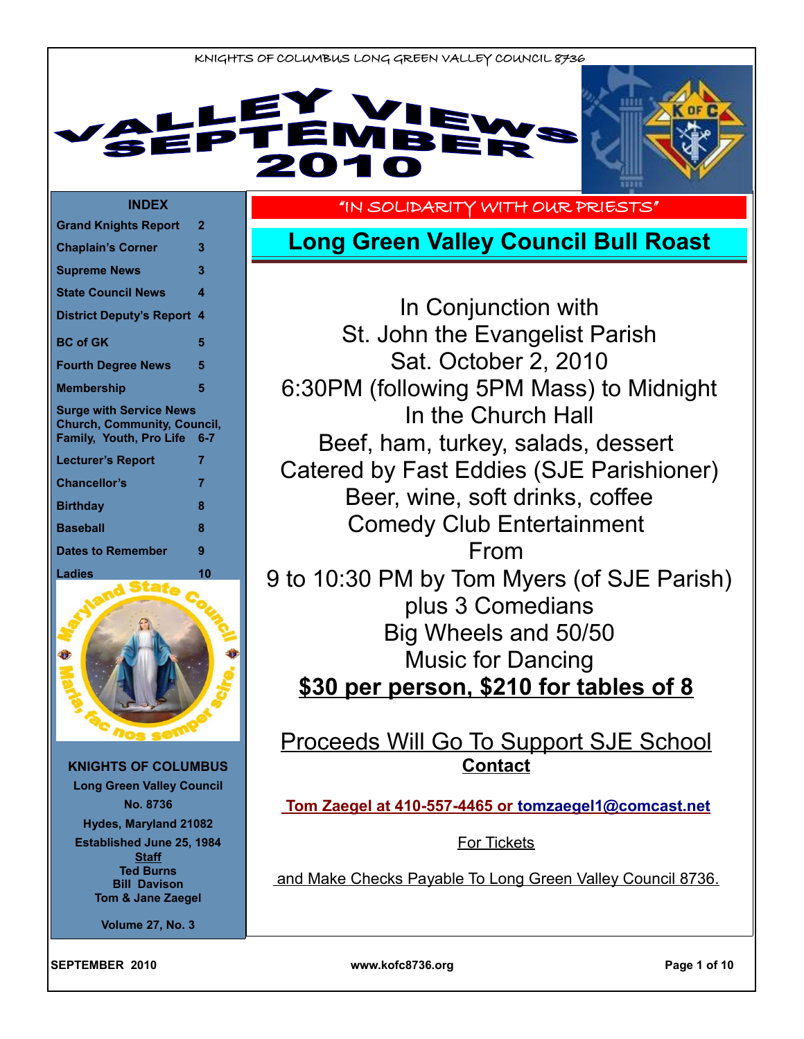



#### **INDEX**

| <b>Grand Knights Report</b>                                                                     | 2     |
|-------------------------------------------------------------------------------------------------|-------|
| <b>Chaplain's Corner</b>                                                                        | 3     |
| <b>Supreme News</b>                                                                             | 3     |
| <b>State Council News</b>                                                                       | 4     |
| <b>District Deputy's Report</b>                                                                 | 4     |
| <b>BC</b> of GK                                                                                 | 5     |
| <b>Fourth Degree News</b>                                                                       | 5     |
| <b>Membership</b>                                                                               | 5     |
| <b>Surge with Service News</b><br><b>Church, Community, Council,</b><br>Family, Youth, Pro Life | $6-7$ |
|                                                                                                 |       |
| <b>Lecturer's Report</b>                                                                        | 7     |
| Chancellor's                                                                                    | 7     |
| <b>Birthday</b>                                                                                 | 8     |
| <b>Baseball</b>                                                                                 | 8     |
| <b>Dates to Remember</b>                                                                        | 9     |



**KNIGHTS OF COLUMBUS Long Green Valley Council No. 8736 Hydes, Maryland 21082 Established June 25, 1984 Staff Ted Burns Bill Davison Tom & Jane Zaegel**

**Volume 27, No. 3**

"IN SOLIDARITY WITH OUR PRIESTS"

# **Long Green Valley Council Bull Roast**

In Conjunction with St. John the Evangelist Parish Sat. October 2, 2010 6:30PM (following 5PM Mass) to Midnight In the Church Hall Beef, ham, turkey, salads, dessert Catered by Fast Eddies (SJE Parishioner) Beer, wine, soft drinks, coffee Comedy Club Entertainment From 9 to 10:30 PM by Tom Myers (of SJE Parish) plus 3 Comedians Big Wheels and 50/50 Music for Dancing **\$30 per person, \$210 for tables of 8**

# Proceeds Will Go To Support SJE School **Contact**

 **Tom Zaegel at 410-557-4465 or [tomzaegel1@comcast.net](mailto:tomzaegel1@comcast.net)**

For Tickets

and Make Checks Payable To Long Green Valley Council 8736.

**SEPTEMBER 2010 www.kofc8736.org Page 1 of 10**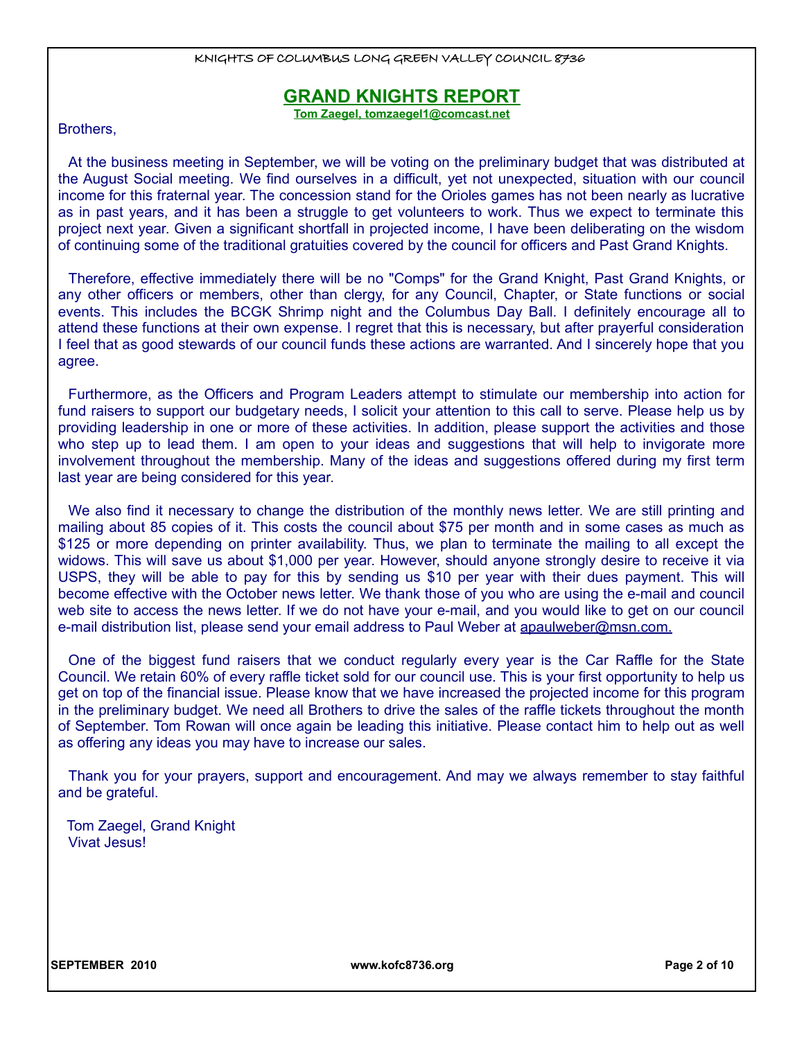# **GRAND KNIGHTS REPORT**

**Tom Zaegel, tomzaegel1@comcast.net**

Brothers,

At the business meeting in September, we will be voting on the preliminary budget that was distributed at the August Social meeting. We find ourselves in a difficult, yet not unexpected, situation with our council income for this fraternal year. The concession stand for the Orioles games has not been nearly as lucrative as in past years, and it has been a struggle to get volunteers to work. Thus we expect to terminate this project next year. Given a significant shortfall in projected income, I have been deliberating on the wisdom of continuing some of the traditional gratuities covered by the council for officers and Past Grand Knights.

Therefore, effective immediately there will be no "Comps" for the Grand Knight, Past Grand Knights, or any other officers or members, other than clergy, for any Council, Chapter, or State functions or social events. This includes the BCGK Shrimp night and the Columbus Day Ball. I definitely encourage all to attend these functions at their own expense. I regret that this is necessary, but after prayerful consideration I feel that as good stewards of our council funds these actions are warranted. And I sincerely hope that you agree.

Furthermore, as the Officers and Program Leaders attempt to stimulate our membership into action for fund raisers to support our budgetary needs, I solicit your attention to this call to serve. Please help us by providing leadership in one or more of these activities. In addition, please support the activities and those who step up to lead them. I am open to your ideas and suggestions that will help to invigorate more involvement throughout the membership. Many of the ideas and suggestions offered during my first term last year are being considered for this year.

We also find it necessary to change the distribution of the monthly news letter. We are still printing and mailing about 85 copies of it. This costs the council about \$75 per month and in some cases as much as \$125 or more depending on printer availability. Thus, we plan to terminate the mailing to all except the widows. This will save us about \$1,000 per year. However, should anyone strongly desire to receive it via USPS, they will be able to pay for this by sending us \$10 per year with their dues payment. This will become effective with the October news letter. We thank those of you who are using the e-mail and council web site to access the news letter. If we do not have your e-mail, and you would like to get on our council e-mail distribution list, please send your email address to Paul Weber at apaulweber@msn.com.

One of the biggest fund raisers that we conduct regularly every year is the Car Raffle for the State Council. We retain 60% of every raffle ticket sold for our council use. This is your first opportunity to help us get on top of the financial issue. Please know that we have increased the projected income for this program in the preliminary budget. We need all Brothers to drive the sales of the raffle tickets throughout the month of September. Tom Rowan will once again be leading this initiative. Please contact him to help out as well as offering any ideas you may have to increase our sales.

Thank you for your prayers, support and encouragement. And may we always remember to stay faithful and be grateful.

Tom Zaegel, Grand Knight Vivat Jesus!

**SEPTEMBER 2010 www.kofc8736.org Page 2 of 10**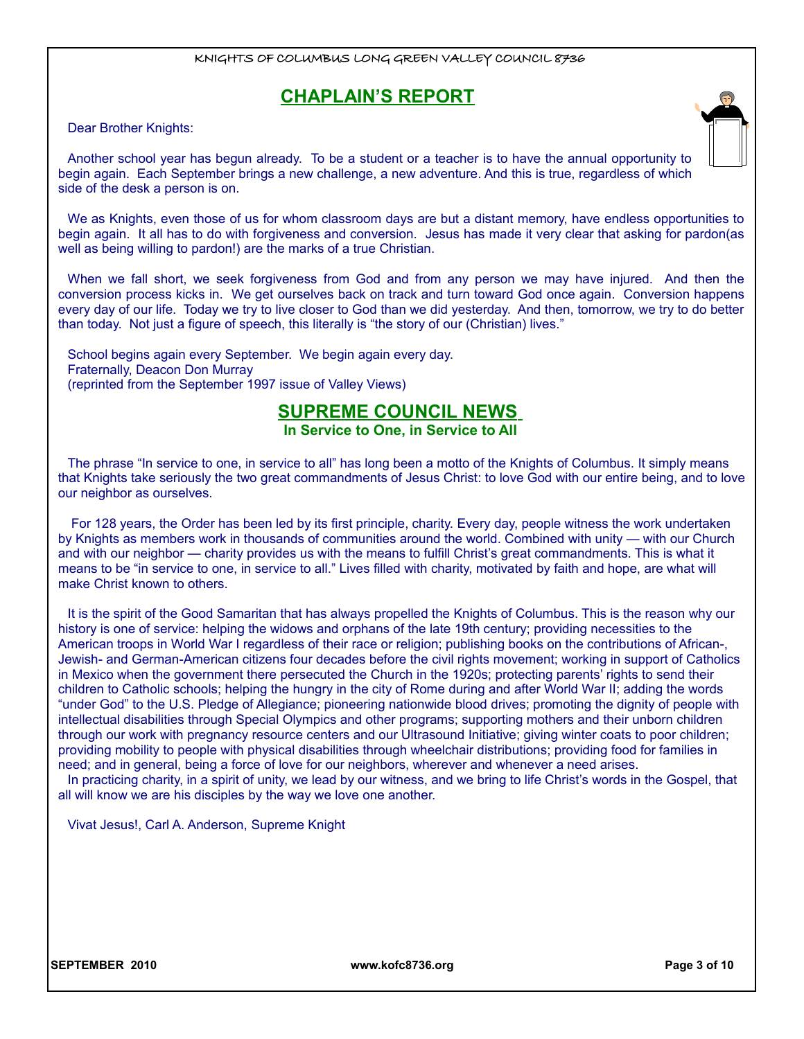# **CHAPLAIN'S REPORT**

Dear Brother Knights:

Another school year has begun already. To be a student or a teacher is to have the annual opportunity to begin again. Each September brings a new challenge, a new adventure. And this is true, regardless of which side of the desk a person is on.

We as Knights, even those of us for whom classroom days are but a distant memory, have endless opportunities to begin again. It all has to do with forgiveness and conversion. Jesus has made it very clear that asking for pardon(as well as being willing to pardon!) are the marks of a true Christian.

When we fall short, we seek forgiveness from God and from any person we may have injured. And then the conversion process kicks in. We get ourselves back on track and turn toward God once again. Conversion happens every day of our life. Today we try to live closer to God than we did yesterday. And then, tomorrow, we try to do better than today. Not just a figure of speech, this literally is "the story of our (Christian) lives."

School begins again every September. We begin again every day. Fraternally, Deacon Don Murray (reprinted from the September 1997 issue of Valley Views)

# **SUPREME COUNCIL NEWS**

**In Service to One, in Service to All** 

The phrase "In service to one, in service to all" has long been a motto of the Knights of Columbus. It simply means that Knights take seriously the two great commandments of Jesus Christ: to love God with our entire being, and to love our neighbor as ourselves.

 For 128 years, the Order has been led by its first principle, charity. Every day, people witness the work undertaken by Knights as members work in thousands of communities around the world. Combined with unity — with our Church and with our neighbor — charity provides us with the means to fulfill Christ's great commandments. This is what it means to be "in service to one, in service to all." Lives filled with charity, motivated by faith and hope, are what will make Christ known to others.

It is the spirit of the Good Samaritan that has always propelled the Knights of Columbus. This is the reason why our history is one of service: helping the widows and orphans of the late 19th century; providing necessities to the American troops in World War I regardless of their race or religion; publishing books on the contributions of African-, Jewish- and German-American citizens four decades before the civil rights movement; working in support of Catholics in Mexico when the government there persecuted the Church in the 1920s; protecting parents' rights to send their children to Catholic schools; helping the hungry in the city of Rome during and after World War II; adding the words "under God" to the U.S. Pledge of Allegiance; pioneering nationwide blood drives; promoting the dignity of people with intellectual disabilities through Special Olympics and other programs; supporting mothers and their unborn children through our work with pregnancy resource centers and our Ultrasound Initiative; giving winter coats to poor children; providing mobility to people with physical disabilities through wheelchair distributions; providing food for families in need; and in general, being a force of love for our neighbors, wherever and whenever a need arises.

In practicing charity, in a spirit of unity, we lead by our witness, and we bring to life Christ's words in the Gospel, that all will know we are his disciples by the way we love one another.

Vivat Jesus!, Carl A. Anderson, Supreme Knight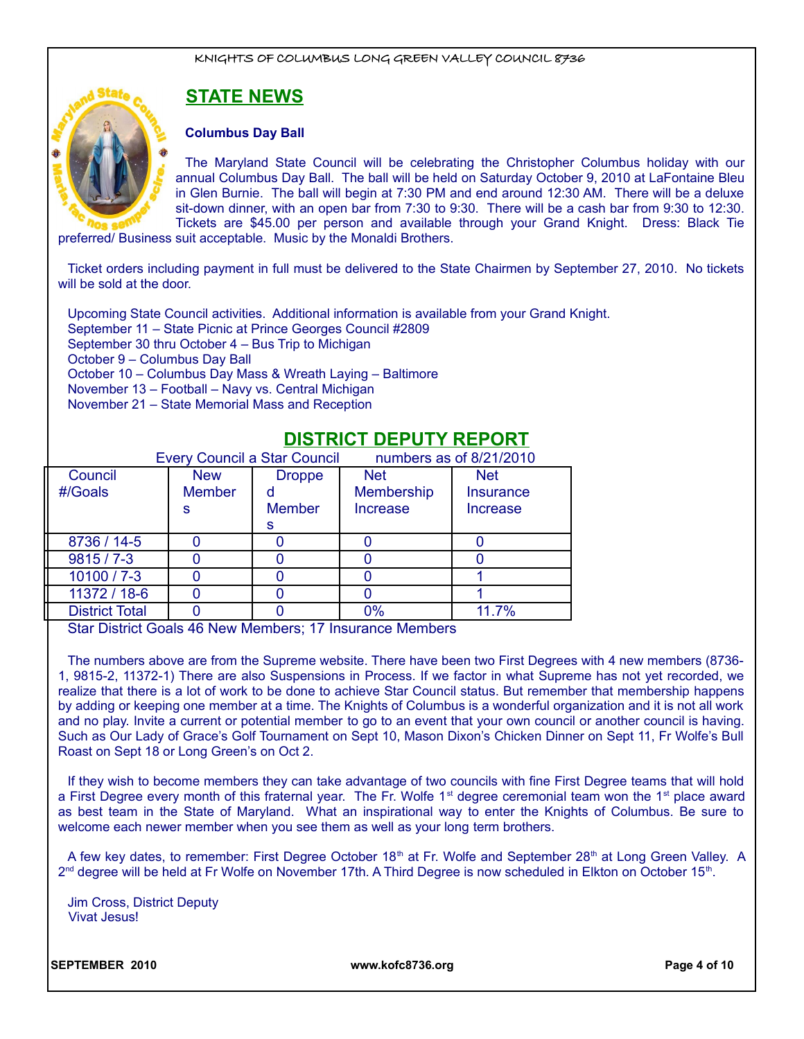# **STATE NEWS**

#### **Columbus Day Ball**

The Maryland State Council will be celebrating the Christopher Columbus holiday with our annual Columbus Day Ball. The ball will be held on Saturday October 9, 2010 at LaFontaine Bleu in Glen Burnie. The ball will begin at 7:30 PM and end around 12:30 AM. There will be a deluxe sit-down dinner, with an open bar from 7:30 to 9:30. There will be a cash bar from 9:30 to 12:30. Tickets are \$45.00 per person and available through your Grand Knight. Dress: Black Tie

preferred/ Business suit acceptable. Music by the Monaldi Brothers.

Ticket orders including payment in full must be delivered to the State Chairmen by September 27, 2010. No tickets will be sold at the door.

Upcoming State Council activities. Additional information is available from your Grand Knight. September 11 – State Picnic at Prince Georges Council #2809 September 30 thru October 4 – Bus Trip to Michigan October 9 – Columbus Day Ball October 10 – Columbus Day Mass & Wreath Laying – Baltimore November 13 – Football – Navy vs. Central Michigan November 21 – State Memorial Mass and Reception

# **DISTRICT DEPUTY REPORT**

|                       |               | <b>Every Council a Star Council</b> | numbers as of 8/21/2010 |                 |
|-----------------------|---------------|-------------------------------------|-------------------------|-----------------|
| Council               | <b>New</b>    | <b>Droppe</b>                       | <b>Net</b>              | <b>Net</b>      |
| #/Goals               | <b>Member</b> |                                     | Membership              | Insurance       |
|                       | s             | <b>Member</b>                       | <b>Increase</b>         | <b>Increase</b> |
|                       |               | s                                   |                         |                 |
| 8736 / 14-5           |               |                                     |                         |                 |
| $9815/7 - 3$          |               |                                     |                         |                 |
| $10100 / 7 - 3$       |               |                                     |                         |                 |
| 11372 / 18-6          |               |                                     |                         |                 |
| <b>District Total</b> |               |                                     | 0%                      | 11.7%           |

Star District Goals 46 New Members; 17 Insurance Members

The numbers above are from the Supreme website. There have been two First Degrees with 4 new members (8736- 1, 9815-2, 11372-1) There are also Suspensions in Process. If we factor in what Supreme has not yet recorded, we realize that there is a lot of work to be done to achieve Star Council status. But remember that membership happens by adding or keeping one member at a time. The Knights of Columbus is a wonderful organization and it is not all work and no play. Invite a current or potential member to go to an event that your own council or another council is having. Such as Our Lady of Grace's Golf Tournament on Sept 10, Mason Dixon's Chicken Dinner on Sept 11, Fr Wolfe's Bull Roast on Sept 18 or Long Green's on Oct 2.

If they wish to become members they can take advantage of two councils with fine First Degree teams that will hold a First Degree every month of this fraternal year. The Fr. Wolfe 1<sup>st</sup> degree ceremonial team won the 1<sup>st</sup> place award as best team in the State of Maryland. What an inspirational way to enter the Knights of Columbus. Be sure to welcome each newer member when you see them as well as your long term brothers.

A few key dates, to remember: First Degree October 18<sup>th</sup> at Fr. Wolfe and September 28<sup>th</sup> at Long Green Valley. A 2<sup>nd</sup> degree will be held at Fr Wolfe on November 17th. A Third Degree is now scheduled in Elkton on October 15<sup>th</sup>.

Jim Cross, District Deputy Vivat Jesus!

**SEPTEMBER 2010 www.kofc8736.org Page 4 of 10**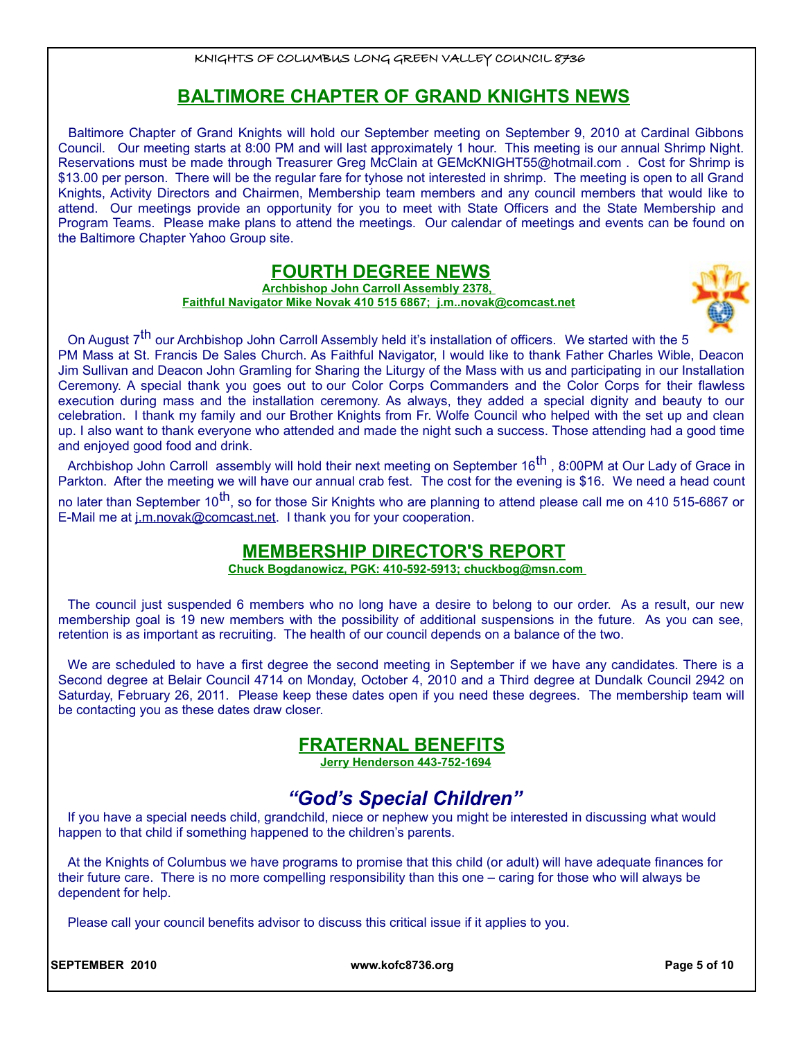# **BALTIMORE CHAPTER OF GRAND KNIGHTS NEWS**

Baltimore Chapter of Grand Knights will hold our September meeting on September 9, 2010 at Cardinal Gibbons Council. Our meeting starts at 8:00 PM and will last approximately 1 hour. This meeting is our annual Shrimp Night. Reservations must be made through Treasurer Greg McClain at GEMcKNIGHT55@hotmail.com . Cost for Shrimp is \$13.00 per person. There will be the regular fare for tyhose not interested in shrimp. The meeting is open to all Grand Knights, Activity Directors and Chairmen, Membership team members and any council members that would like to attend. Our meetings provide an opportunity for you to meet with State Officers and the State Membership and Program Teams. Please make plans to attend the meetings. Our calendar of meetings and events can be found on the Baltimore Chapter Yahoo Group site.

#### **FOURTH DEGREE NEWS**

**Archbishop John Carroll Assembly 2378, Faithful Navigator Mike Novak 410 515 6867; j.m..novak@comcast.net**



On August 7<sup>th</sup> our Archbishop John Carroll Assembly held it's installation of officers. We started with the 5 PM Mass at St. Francis De Sales Church. As Faithful Navigator, I would like to thank Father Charles Wible, Deacon Jim Sullivan and Deacon John Gramling for Sharing the Liturgy of the Mass with us and participating in our Installation Ceremony. A special thank you goes out to our Color Corps Commanders and the Color Corps for their flawless execution during mass and the installation ceremony. As always, they added a special dignity and beauty to our celebration. I thank my family and our Brother Knights from Fr. Wolfe Council who helped with the set up and clean up. I also want to thank everyone who attended and made the night such a success. Those attending had a good time and enjoyed good food and drink.

Archbishop John Carroll assembly will hold their next meeting on September 16<sup>th</sup>, 8:00PM at Our Lady of Grace in Parkton. After the meeting we will have our annual crab fest. The cost for the evening is \$16. We need a head count no later than September 10<sup>th</sup>, so for those Sir Knights who are planning to attend please call me on 410 515-6867 or

E-Mail me at j.m.novak@comcast.net. I thank you for your cooperation.

# **MEMBERSHIP DIRECTOR'S REPORT**

 **Chuck Bogdanowicz, PGK: 410-592-5913; chuckbog@msn.com** 

The council just suspended 6 members who no long have a desire to belong to our order. As a result, our new membership goal is 19 new members with the possibility of additional suspensions in the future. As you can see, retention is as important as recruiting. The health of our council depends on a balance of the two.

We are scheduled to have a first degree the second meeting in September if we have any candidates. There is a Second degree at Belair Council 4714 on Monday, October 4, 2010 and a Third degree at Dundalk Council 2942 on Saturday, February 26, 2011. Please keep these dates open if you need these degrees. The membership team will be contacting you as these dates draw closer.

# **FRATERNAL BENEFITS**

**Jerry Henderson 443-752-1694**

# *"God's Special Children"*

If you have a special needs child, grandchild, niece or nephew you might be interested in discussing what would happen to that child if something happened to the children's parents.

At the Knights of Columbus we have programs to promise that this child (or adult) will have adequate finances for their future care. There is no more compelling responsibility than this one – caring for those who will always be dependent for help.

Please call your council benefits advisor to discuss this critical issue if it applies to you.

**SEPTEMBER 2010 www.kofc8736.org Page 5 of 10**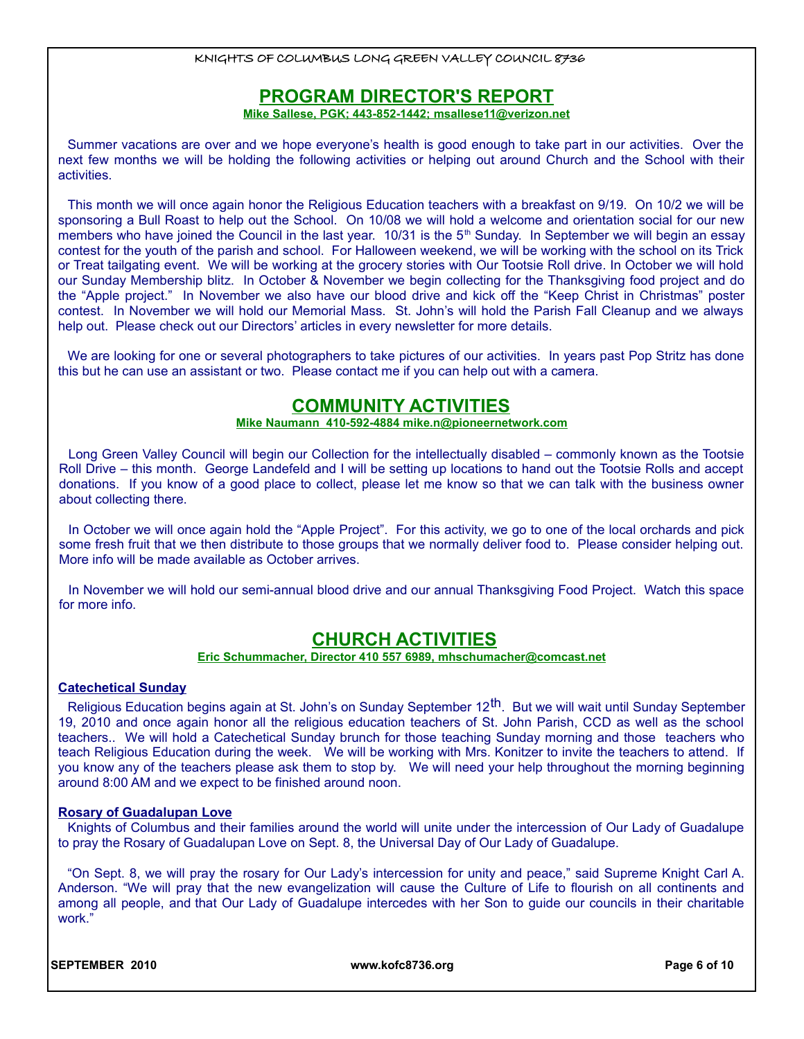### **PROGRAM DIRECTOR'S REPORT**

 **Mike Sallese, PGK; 443-852-1442; msallese11@verizon.net**

Summer vacations are over and we hope everyone's health is good enough to take part in our activities. Over the next few months we will be holding the following activities or helping out around Church and the School with their activities.

This month we will once again honor the Religious Education teachers with a breakfast on 9/19. On 10/2 we will be sponsoring a Bull Roast to help out the School. On 10/08 we will hold a welcome and orientation social for our new members who have joined the Council in the last year. 10/31 is the 5<sup>th</sup> Sunday. In September we will begin an essay contest for the youth of the parish and school. For Halloween weekend, we will be working with the school on its Trick or Treat tailgating event. We will be working at the grocery stories with Our Tootsie Roll drive. In October we will hold our Sunday Membership blitz. In October & November we begin collecting for the Thanksgiving food project and do the "Apple project." In November we also have our blood drive and kick off the "Keep Christ in Christmas" poster contest. In November we will hold our Memorial Mass. St. John's will hold the Parish Fall Cleanup and we always help out. Please check out our Directors' articles in every newsletter for more details.

We are looking for one or several photographers to take pictures of our activities. In years past Pop Stritz has done this but he can use an assistant or two. Please contact me if you can help out with a camera.

# **COMMUNITY ACTIVITIES**

#### **Mike Naumann 410-592-4884 mike.n@pioneernetwork.com**

Long Green Valley Council will begin our Collection for the intellectually disabled – commonly known as the Tootsie Roll Drive – this month. George Landefeld and I will be setting up locations to hand out the Tootsie Rolls and accept donations. If you know of a good place to collect, please let me know so that we can talk with the business owner about collecting there.

In October we will once again hold the "Apple Project". For this activity, we go to one of the local orchards and pick some fresh fruit that we then distribute to those groups that we normally deliver food to. Please consider helping out. More info will be made available as October arrives.

In November we will hold our semi-annual blood drive and our annual Thanksgiving Food Project. Watch this space for more info.

# **CHURCH ACTIVITIES**

#### **Eric Schummacher, Director 410 557 6989, mhschumacher@comcast.net**

#### **Catechetical Sunday**

Religious Education begins again at St. John's on Sunday September 12<sup>th</sup>. But we will wait until Sunday September 19, 2010 and once again honor all the religious education teachers of St. John Parish, CCD as well as the school teachers.. We will hold a Catechetical Sunday brunch for those teaching Sunday morning and those teachers who teach Religious Education during the week. We will be working with Mrs. Konitzer to invite the teachers to attend. If you know any of the teachers please ask them to stop by. We will need your help throughout the morning beginning around 8:00 AM and we expect to be finished around noon.

#### **Rosary of Guadalupan Love**

Knights of Columbus and their families around the world will unite under the intercession of Our Lady of Guadalupe to pray the Rosary of Guadalupan Love on Sept. 8, the Universal Day of Our Lady of Guadalupe.

"On Sept. 8, we will pray the rosary for Our Lady's intercession for unity and peace," said Supreme Knight Carl A. Anderson. "We will pray that the new evangelization will cause the Culture of Life to flourish on all continents and among all people, and that Our Lady of Guadalupe intercedes with her Son to guide our councils in their charitable work."

**SEPTEMBER 2010 www.kofc8736.org Page 6 of 10**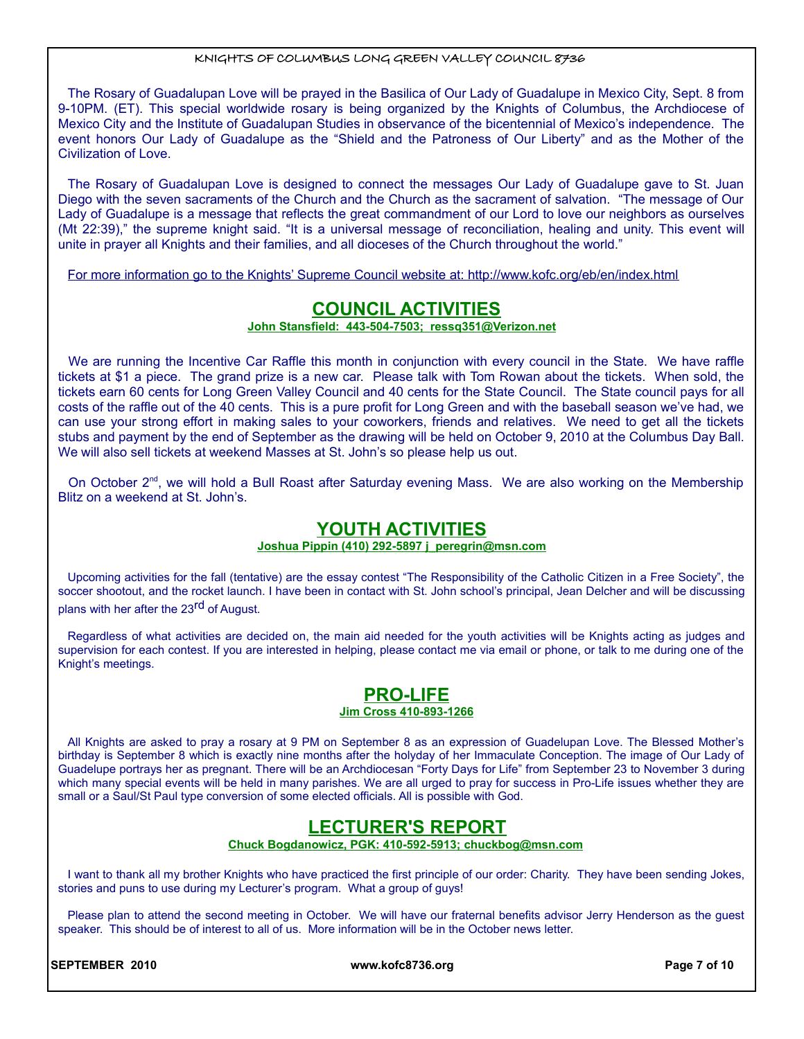The Rosary of Guadalupan Love will be prayed in the Basilica of Our Lady of Guadalupe in Mexico City, Sept. 8 from 9-10PM. (ET). This special worldwide rosary is being organized by the Knights of Columbus, the Archdiocese of Mexico City and the Institute of Guadalupan Studies in observance of the bicentennial of Mexico's independence. The event honors Our Lady of Guadalupe as the "Shield and the Patroness of Our Liberty" and as the Mother of the Civilization of Love.

The Rosary of Guadalupan Love is designed to connect the messages Our Lady of Guadalupe gave to St. Juan Diego with the seven sacraments of the Church and the Church as the sacrament of salvation. "The message of Our Lady of Guadalupe is a message that reflects the great commandment of our Lord to love our neighbors as ourselves (Mt 22:39)," the supreme knight said. "It is a universal message of reconciliation, healing and unity. This event will unite in prayer all Knights and their families, and all dioceses of the Church throughout the world."

For more information go to the Knights' Supreme Council website at: http://www.kofc.org/eb/en/index.html

### **COUNCIL ACTIVITIES**

 **John Stansfield: 443-504-7503; ressq351@Verizon.net**

We are running the Incentive Car Raffle this month in conjunction with every council in the State. We have raffle tickets at \$1 a piece. The grand prize is a new car. Please talk with Tom Rowan about the tickets. When sold, the tickets earn 60 cents for Long Green Valley Council and 40 cents for the State Council. The State council pays for all costs of the raffle out of the 40 cents. This is a pure profit for Long Green and with the baseball season we've had, we can use your strong effort in making sales to your coworkers, friends and relatives. We need to get all the tickets stubs and payment by the end of September as the drawing will be held on October 9, 2010 at the Columbus Day Ball. We will also sell tickets at weekend Masses at St. John's so please help us out.

On October 2<sup>nd</sup>, we will hold a Bull Roast after Saturday evening Mass. We are also working on the Membership Blitz on a weekend at St. John's.

### **YOUTH ACTIVITIES**

#### **Joshua Pippin (410) 292-5897 j\_peregrin@msn.com**

Upcoming activities for the fall (tentative) are the essay contest "The Responsibility of the Catholic Citizen in a Free Society", the soccer shootout, and the rocket launch. I have been in contact with St. John school's principal, Jean Delcher and will be discussing plans with her after the 23rd of August.

Regardless of what activities are decided on, the main aid needed for the youth activities will be Knights acting as judges and supervision for each contest. If you are interested in helping, please contact me via email or phone, or talk to me during one of the Knight's meetings.

#### **PRO-LIFE Jim Cross 410-893-1266**

All Knights are asked to pray a rosary at 9 PM on September 8 as an expression of Guadelupan Love. The Blessed Mother's birthday is September 8 which is exactly nine months after the holyday of her Immaculate Conception. The image of Our Lady of Guadelupe portrays her as pregnant. There will be an Archdiocesan "Forty Days for Life" from September 23 to November 3 during which many special events will be held in many parishes. We are all urged to pray for success in Pro-Life issues whether they are small or a Saul/St Paul type conversion of some elected officials. All is possible with God.

# **LECTURER'S REPORT**

 **Chuck Bogdanowicz, PGK: 410-592-5913; chuckbog@msn.com** 

I want to thank all my brother Knights who have practiced the first principle of our order: Charity. They have been sending Jokes, stories and puns to use during my Lecturer's program. What a group of guys!

Please plan to attend the second meeting in October. We will have our fraternal benefits advisor Jerry Henderson as the guest speaker. This should be of interest to all of us. More information will be in the October news letter.

**SEPTEMBER 2010 www.kofc8736.org Page 7 of 10**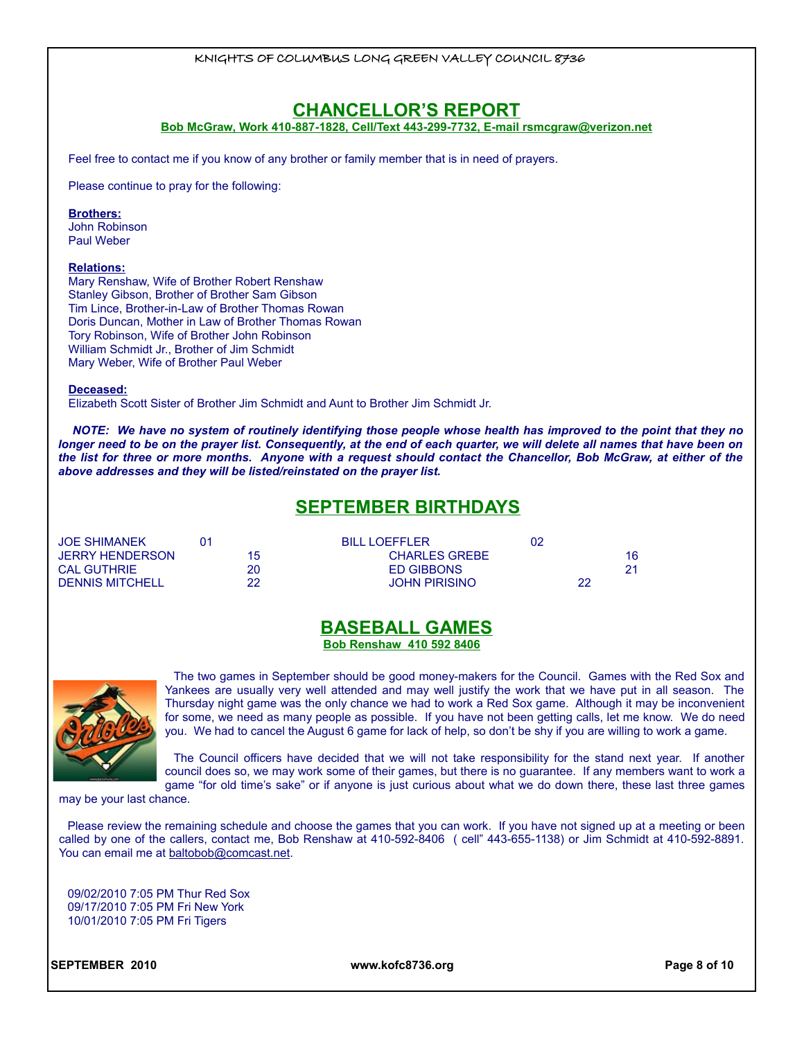#### **CHANCELLOR'S REPORT**

**Bob McGraw, Work 410-887-1828, Cell/Text 443-299-7732, E-mail rsmcgraw@verizon.net**

Feel free to contact me if you know of any brother or family member that is in need of prayers.

Please continue to pray for the following:

#### **Brothers:**

John Robinson Paul Weber

#### **Relations:**

Mary Renshaw, Wife of Brother Robert Renshaw Stanley Gibson, Brother of Brother Sam Gibson Tim Lince, Brother-in-Law of Brother Thomas Rowan Doris Duncan, Mother in Law of Brother Thomas Rowan Tory Robinson, Wife of Brother John Robinson William Schmidt Jr., Brother of Jim Schmidt Mary Weber, Wife of Brother Paul Weber

**Deceased:**

Elizabeth Scott Sister of Brother Jim Schmidt and Aunt to Brother Jim Schmidt Jr.

*NOTE: We have no system of routinely identifying those people whose health has improved to the point that they no longer need to be on the prayer list. Consequently, at the end of each quarter, we will delete all names that have been on the list for three or more months. Anyone with a request should contact the Chancellor, Bob McGraw, at either of the above addresses and they will be listed/reinstated on the prayer list.*

# **SEPTEMBER BIRTHDAYS**

| <b>JOE SHIMANEK</b>    | <b>BILLIOFFFLER</b>  |    |  |
|------------------------|----------------------|----|--|
| JERRY HENDERSON        | <b>CHARLES GREBE</b> |    |  |
| <b>CAL GUTHRIE</b>     | <b>ED GIBBONS</b>    |    |  |
| <b>DENNIS MITCHELL</b> | <b>JOHN PIRISINO</b> | 22 |  |

#### **BASEBALL GAMES Bob Renshaw 410 592 8406**



The two games in September should be good money-makers for the Council. Games with the Red Sox and Yankees are usually very well attended and may well justify the work that we have put in all season. The Thursday night game was the only chance we had to work a Red Sox game. Although it may be inconvenient for some, we need as many people as possible. If you have not been getting calls, let me know. We do need you. We had to cancel the August 6 game for lack of help, so don't be shy if you are willing to work a game.

The Council officers have decided that we will not take responsibility for the stand next year. If another council does so, we may work some of their games, but there is no guarantee. If any members want to work a game "for old time's sake" or if anyone is just curious about what we do down there, these last three games

may be your last chance.

Please review the remaining schedule and choose the games that you can work. If you have not signed up at a meeting or been called by one of the callers, contact me, Bob Renshaw at 410-592-8406 ( cell" 443-655-1138) or Jim Schmidt at 410-592-8891. You can email me at baltobob@comcast.net.

09/02/2010 7:05 PM Thur Red Sox 09/17/2010 7:05 PM Fri New York 10/01/2010 7:05 PM Fri Tigers

**SEPTEMBER 2010 www.kofc8736.org Page 8 of 10**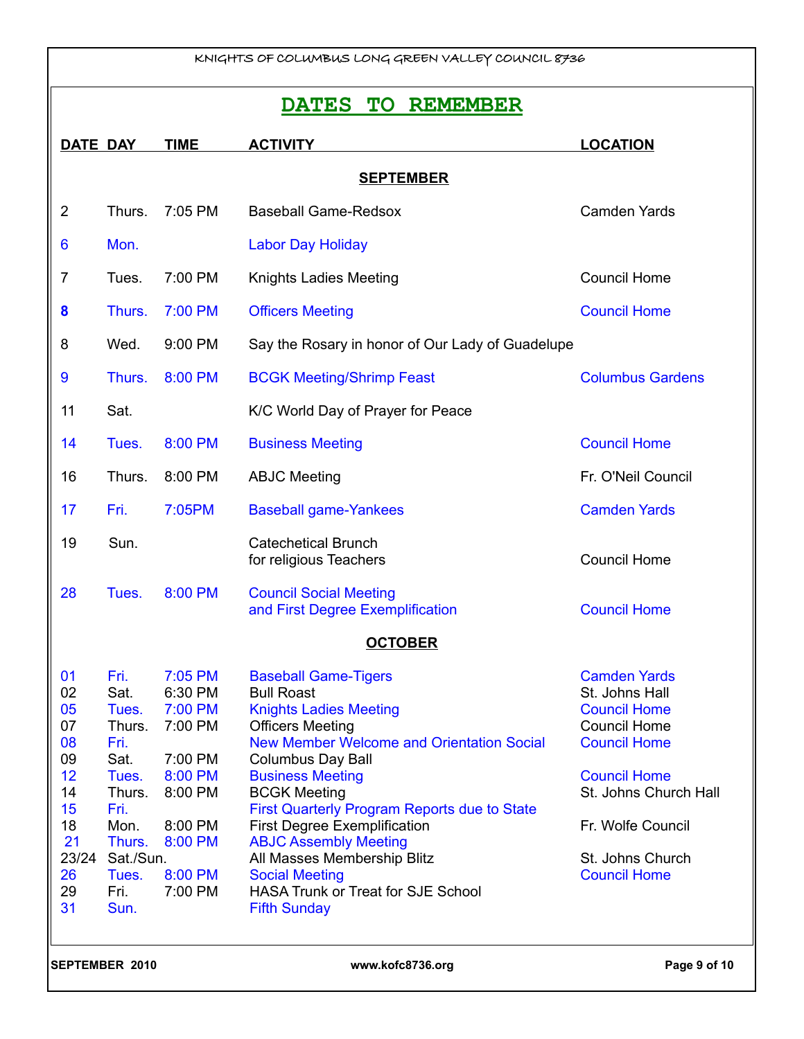# **DATES TO REMEMBER**

| <b>DATE DAY</b>                                                                           |                                                                                                                                    | <b>TIME</b>                                                                                                           | <b>ACTIVITY</b>                                                                                                                                                                                                                                                                                                                                                                                                                                                                                   | <b>LOCATION</b>                                                                                                                                                                                                            |  |
|-------------------------------------------------------------------------------------------|------------------------------------------------------------------------------------------------------------------------------------|-----------------------------------------------------------------------------------------------------------------------|---------------------------------------------------------------------------------------------------------------------------------------------------------------------------------------------------------------------------------------------------------------------------------------------------------------------------------------------------------------------------------------------------------------------------------------------------------------------------------------------------|----------------------------------------------------------------------------------------------------------------------------------------------------------------------------------------------------------------------------|--|
|                                                                                           | <b>SEPTEMBER</b>                                                                                                                   |                                                                                                                       |                                                                                                                                                                                                                                                                                                                                                                                                                                                                                                   |                                                                                                                                                                                                                            |  |
| $\overline{2}$                                                                            | Thurs.                                                                                                                             | 7:05 PM                                                                                                               | <b>Baseball Game-Redsox</b>                                                                                                                                                                                                                                                                                                                                                                                                                                                                       | <b>Camden Yards</b>                                                                                                                                                                                                        |  |
| 6                                                                                         | Mon.                                                                                                                               |                                                                                                                       | <b>Labor Day Holiday</b>                                                                                                                                                                                                                                                                                                                                                                                                                                                                          |                                                                                                                                                                                                                            |  |
| 7                                                                                         | Tues.                                                                                                                              | 7:00 PM                                                                                                               | <b>Knights Ladies Meeting</b>                                                                                                                                                                                                                                                                                                                                                                                                                                                                     | <b>Council Home</b>                                                                                                                                                                                                        |  |
| 8                                                                                         | Thurs.                                                                                                                             | 7:00 PM                                                                                                               | <b>Officers Meeting</b>                                                                                                                                                                                                                                                                                                                                                                                                                                                                           | <b>Council Home</b>                                                                                                                                                                                                        |  |
| 8                                                                                         | Wed.                                                                                                                               | 9:00 PM                                                                                                               | Say the Rosary in honor of Our Lady of Guadelupe                                                                                                                                                                                                                                                                                                                                                                                                                                                  |                                                                                                                                                                                                                            |  |
| 9                                                                                         | Thurs.                                                                                                                             | 8:00 PM                                                                                                               | <b>BCGK Meeting/Shrimp Feast</b>                                                                                                                                                                                                                                                                                                                                                                                                                                                                  | <b>Columbus Gardens</b>                                                                                                                                                                                                    |  |
| 11                                                                                        | Sat.                                                                                                                               |                                                                                                                       | K/C World Day of Prayer for Peace                                                                                                                                                                                                                                                                                                                                                                                                                                                                 |                                                                                                                                                                                                                            |  |
| 14                                                                                        | Tues.                                                                                                                              | 8:00 PM                                                                                                               | <b>Business Meeting</b>                                                                                                                                                                                                                                                                                                                                                                                                                                                                           | <b>Council Home</b>                                                                                                                                                                                                        |  |
| 16                                                                                        | Thurs.                                                                                                                             | 8:00 PM                                                                                                               | <b>ABJC Meeting</b>                                                                                                                                                                                                                                                                                                                                                                                                                                                                               | Fr. O'Neil Council                                                                                                                                                                                                         |  |
| 17                                                                                        | Fri.                                                                                                                               | 7:05PM                                                                                                                | <b>Baseball game-Yankees</b>                                                                                                                                                                                                                                                                                                                                                                                                                                                                      | <b>Camden Yards</b>                                                                                                                                                                                                        |  |
| 19                                                                                        | Sun.                                                                                                                               |                                                                                                                       | <b>Catechetical Brunch</b><br>for religious Teachers                                                                                                                                                                                                                                                                                                                                                                                                                                              | <b>Council Home</b>                                                                                                                                                                                                        |  |
| 28                                                                                        | Tues.                                                                                                                              | 8:00 PM                                                                                                               | <b>Council Social Meeting</b><br>and First Degree Exemplification                                                                                                                                                                                                                                                                                                                                                                                                                                 | <b>Council Home</b>                                                                                                                                                                                                        |  |
|                                                                                           |                                                                                                                                    |                                                                                                                       | <b>OCTOBER</b>                                                                                                                                                                                                                                                                                                                                                                                                                                                                                    |                                                                                                                                                                                                                            |  |
| 01<br>02<br>05<br>07<br>08<br>09<br>12<br>14<br>15<br>18<br>21<br>23/24<br>26<br>29<br>31 | Fri.<br>Sat.<br>Tues.<br>Thurs.<br>Fri.<br>Sat.<br>Tues.<br>Thurs.<br>Fri.<br>Mon.<br>Thurs.<br>Sat./Sun.<br>Tues.<br>Fri.<br>Sun. | 7:05 PM<br>6:30 PM<br>7:00 PM<br>7:00 PM<br>7:00 PM<br>8:00 PM<br>8:00 PM<br>8:00 PM<br>8:00 PM<br>8:00 PM<br>7:00 PM | <b>Baseball Game-Tigers</b><br><b>Bull Roast</b><br><b>Knights Ladies Meeting</b><br><b>Officers Meeting</b><br><b>New Member Welcome and Orientation Social</b><br><b>Columbus Day Ball</b><br><b>Business Meeting</b><br><b>BCGK Meeting</b><br>First Quarterly Program Reports due to State<br><b>First Degree Exemplification</b><br><b>ABJC Assembly Meeting</b><br>All Masses Membership Blitz<br><b>Social Meeting</b><br><b>HASA Trunk or Treat for SJE School</b><br><b>Fifth Sunday</b> | <b>Camden Yards</b><br>St. Johns Hall<br><b>Council Home</b><br><b>Council Home</b><br><b>Council Home</b><br><b>Council Home</b><br>St. Johns Church Hall<br>Fr. Wolfe Council<br>St. Johns Church<br><b>Council Home</b> |  |
|                                                                                           | SEPTEMBER 2010                                                                                                                     |                                                                                                                       | www.kofc8736.org                                                                                                                                                                                                                                                                                                                                                                                                                                                                                  | Page 9 of 10                                                                                                                                                                                                               |  |